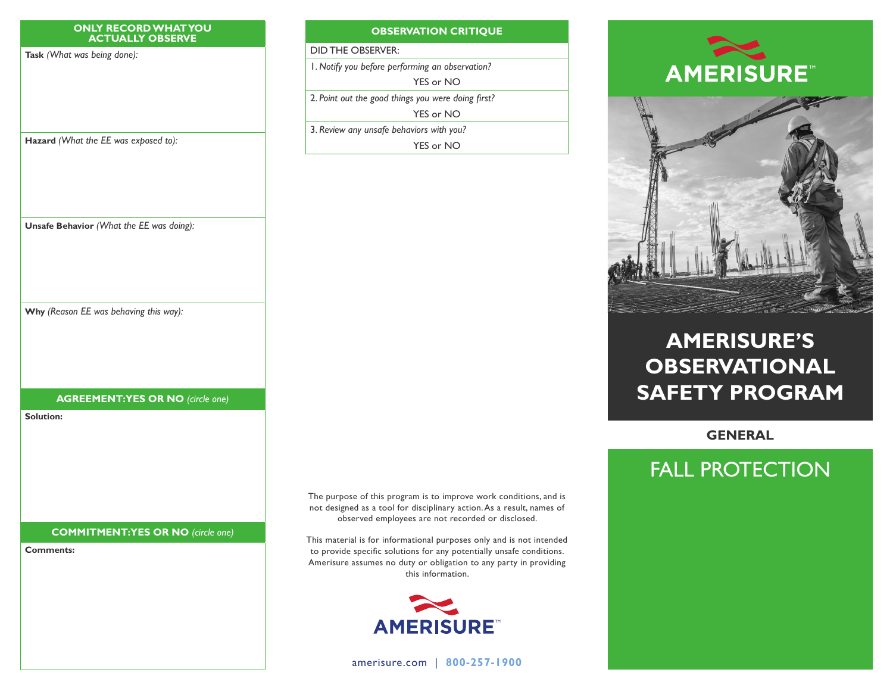#### **ONLY RECORD WHAT YOU ACTUALLY OBSERVE**

**Task** *(What was being done):*

### **OBSERVATION CRITIQUE**

DID THE OBSERVER:

1. *Notify you before performing an observation?*

YES or NO

2. *Point out the good things you were doing first?*

YES or NO

3. *Review any unsafe behaviors with you?* YES or NO





# **AMERISURE'S OBSERVATIONAL SAFETY PROGRAM**

**GENERAL**

# FALL PROTECTION

**Hazard** *(What the EE was exposed to):*

**Unsafe Behavior** *(What the EE was doing):*

**Why** *(Reason EE was behaving this way):*

## **AGREEMENT: YES OR NO** *(circle one)*

**Solution:**

**COMMITMENT: YES OR NO** *(circle one)*

**Comments:**

The purpose of this program is to improve work conditions, and is not designed as a tool for disciplinary action. As a result, names of observed employees are not recorded or disclosed.

This material is for informational purposes only and is not intended to provide specific solutions for any potentially unsafe conditions. Amerisure assumes no duty or obligation to any party in providing this information.



[amerisure.com](http://www.amerisure.com) | **800-257-1900**